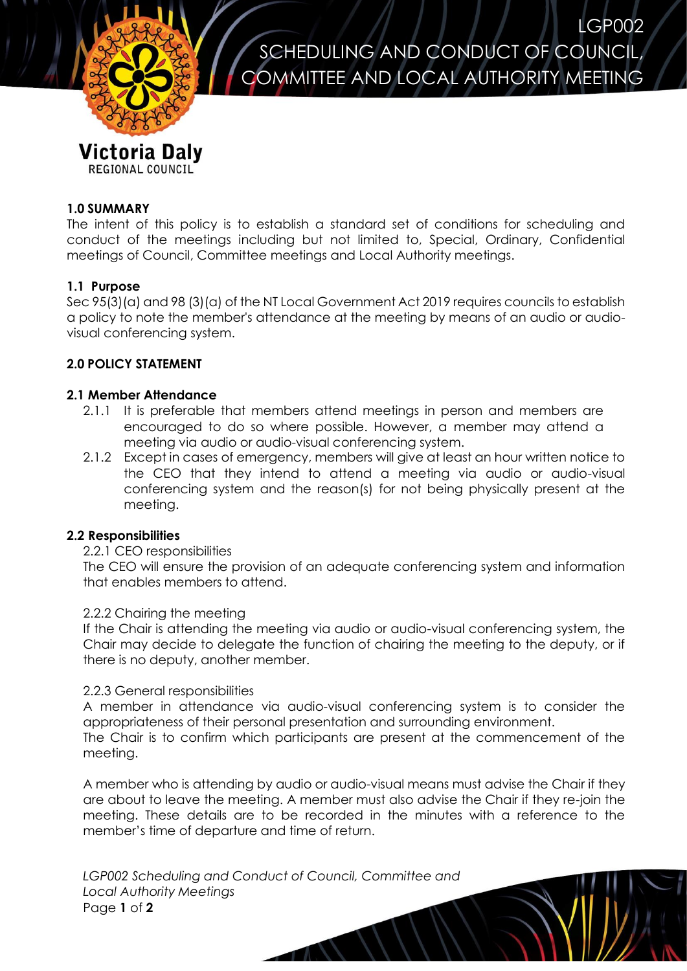

LGP002 SCHEDULING AND CONDUCT OF COUNCIL, COMMITTEE AND LOCAL AUTHORITY MEETING

# **1.0 SUMMARY**

The intent of this policy is to establish a standard set of conditions for scheduling and conduct of the meetings including but not limited to, Special, Ordinary, Confidential meetings of Council, Committee meetings and Local Authority meetings.

## **1.1 Purpose**

Sec 95(3)(a) and 98 (3)(a) of the NT Local Government Act 2019 requires councils to establish a policy to note the member's attendance at the meeting by means of an audio or audiovisual conferencing system.

# **2.0 POLICY STATEMENT**

### **2.1 Member Attendance**

- 2.1.1 It is preferable that members attend meetings in person and members are encouraged to do so where possible. However, a member may attend a meeting via audio or audio-visual conferencing system.
- 2.1.2 Except in cases of emergency, members will give at least an hour written notice to the CEO that they intend to attend a meeting via audio or audio-visual conferencing system and the reason(s) for not being physically present at the meeting.

#### **2.2 Responsibilities**

#### 2.2.1 CEO responsibilities

The CEO will ensure the provision of an adequate conferencing system and information that enables members to attend.

### 2.2.2 Chairing the meeting

If the Chair is attending the meeting via audio or audio-visual conferencing system, the Chair may decide to delegate the function of chairing the meeting to the deputy, or if there is no deputy, another member.

### 2.2.3 General responsibilities

A member in attendance via audio-visual conferencing system is to consider the appropriateness of their personal presentation and surrounding environment.

The Chair is to confirm which participants are present at the commencement of the meeting.

A member who is attending by audio or audio-visual means must advise the Chair if they are about to leave the meeting. A member must also advise the Chair if they re-join the meeting. These details are to be recorded in the minutes with a reference to the member's time of departure and time of return.

*LGP002 Scheduling and Conduct of Council, Committee and Local Authority Meetings* Page **1** of **2**